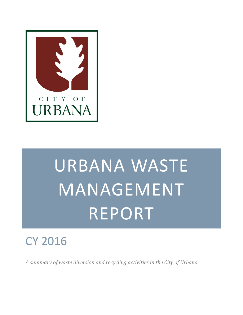

# URBANA WASTE MANAGEMENT REPORT

# CY 2016

*A summary of waste diversion and recycling activities in the City of Urbana.*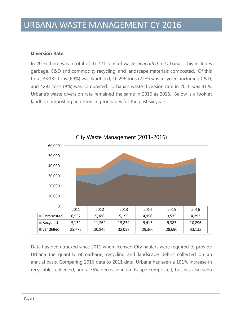#### **Diversion Rate**

In 2016 there was a total of 47,721 tons of waste *generated* in Urbana. This includes garbage, C&D and commodity recycling, and landscape materials composted. Of this total, 33,132 tons (69%) was landfilled; 10,296 tons (22%) was recycled, including C&D; and 4293 tons (9%) was composted. Urbana's waste diversion rate in 2016 was 31%. Urbana's waste diversion rate remained the same in 2016 as 2015. Below is a look at landfill, composting and recycling tonnages for the past six years.



Data has been tracked since 2011 when licensed City haulers were required to provide Urbana the quantity of garbage, recycling and landscape debris collected on an annual basis. Comparing 2016 data to 2011 data, Urbana has seen a 101% increase in recyclables collected, and a 35% decrease in landscape composted; but has also seen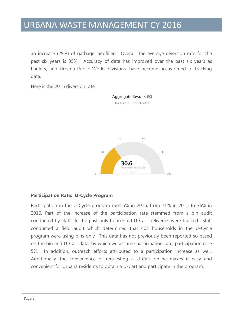an increase (29%) of garbage landfilled. Overall, the average diversion rate for the past six years is 35%. Accuracy of data has improved over the past six years as haulers, and Urbana Public Works divisions, have become accustomed to tracking data.

Here is the 2016 diversion rate:





Participation in the U-Cycle program rose 5% in 2016; from 71% in 2015 to 76% in 2016. Part of the increase of the participation rate stemmed from a bin audit conducted by staff. In the past only household U-Cart deliveries were tracked. Staff conducted a field audit which determined that 403 households in the U-Cycle program were using bins only. This data has not previously been reported so based on the bin and U-Cart data, by which we assume participation rate, participation rose 5%. In addition, outreach efforts attributed to a participation increase as well. Additionally, the convenience of requesting a U-Cart online makes it easy and convenient for Urbana residents to obtain a U-Cart and participate in the program.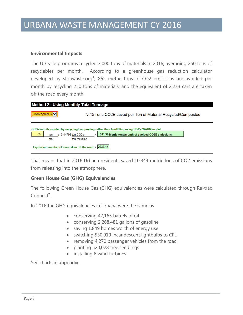#### **Environmental Impacts**

The U-Cycle programs recycled 3,000 tons of materials in 2016, averaging 250 tons of recyclables per month. According to a greenhouse gas reduction calculator developed by stopwaste.org<sup>1</sup>, 862 metric tons of CO2 emissions are avoided per month by recycling 250 tons of materials; and the equivalent of 2,233 cars are taken off the road every month.



That means that in 2016 Urbana residents saved 10,344 metric tons of CO2 emissions from releasing into the atmosphere.

#### **Green House Gas (GHG) Equivalencies**

The following Green House Gas (GHG) equivalencies were calculated through Re-trac Connect<sup>2</sup>.

In 2016 the GHG equivalencies in Urbana were the same as

- conserving 47,165 barrels of oil
- conserving 2,268,481 gallons of gasoline
- saving 1,849 homes worth of energy use
- switching 530,919 incandescent lightbulbs to CFL
- removing 4,270 passenger vehicles from the road
- planting 520,028 tree seedlings
- installing 6 wind turbines

See charts in appendix.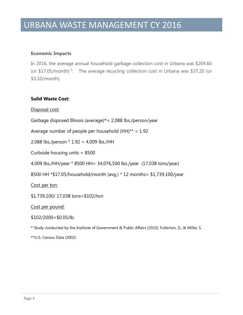#### **Economic Impacts**

In 2016, the average annual household garbage collection cost in Urbana was \$204.60 (or \$17.05/month)<sup>3</sup>. The average recycling collection cost in Urbana was \$37.20 (or \$3.10/month).

#### **Solid Waste Cost:**

Disposal cost:

Garbage disposed Illinois (average)\*= 2,088 lbs./person/year

Average number of people per household  $(HH)$ \*\* = 1.92

2,088 lbs./person \* 1.92 = 4,009 lbs./HH

Curbside housing units = 8500

4,009 lbs./HH/year \* 8500 HH= 34,076,500 lbs./year (17,038 tons/year)

8500 HH \*\$17.05/household/month (avg.) \* 12 months= \$1,739,100/year

Cost per ton:

\$1,739,100/ 17,038 tons=\$102/ton

Cost per pound:

 $$102/2000 = $0.05/lb.$ 

\* Study conducted by the Institute of Government & Public Affairs (2010); Fullerton, D., & Miller, S.

\*\*U.S. Census Data (2002)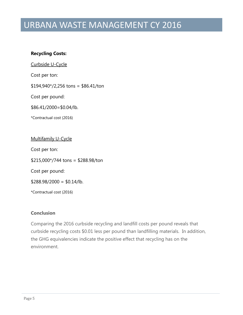#### **Recycling Costs:**

Curbside U-Cycle

Cost per ton:

 $$194,940*/2,256$  tons = \$86.41/ton

Cost per pound:

\$86.41/2000=\$0.04/lb.

\*Contractual cost (2016)

Multifamily U-Cycle

Cost per ton:

\$215,000\*/744 tons = \$288.98/ton

Cost per pound:

 $$288.98/2000 = $0.14/lb.$ 

\*Contractual cost (2016)

#### **Conclusion**

Comparing the 2016 curbside recycling and landfill costs per pound reveals that curbside recycling costs \$0.01 less per pound than landfilling materials. In addition, the GHG equivalencies indicate the positive effect that recycling has on the environment.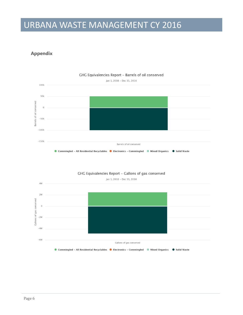#### **Appendix**





#### GHG Equivalencies Report - Gallons of gas conserved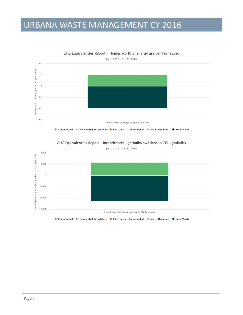

GHG Equivalencies Report - Homes worth of energy use per year saved



GHG Equivalencies Report - Incandescent lightbulbs switched to CFL lightbulbs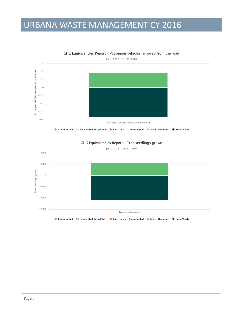

GHG Equivalencies Report - Passenger vehicles removed from the road



#### GHG Equivalencies Report - Tree seedlings grown